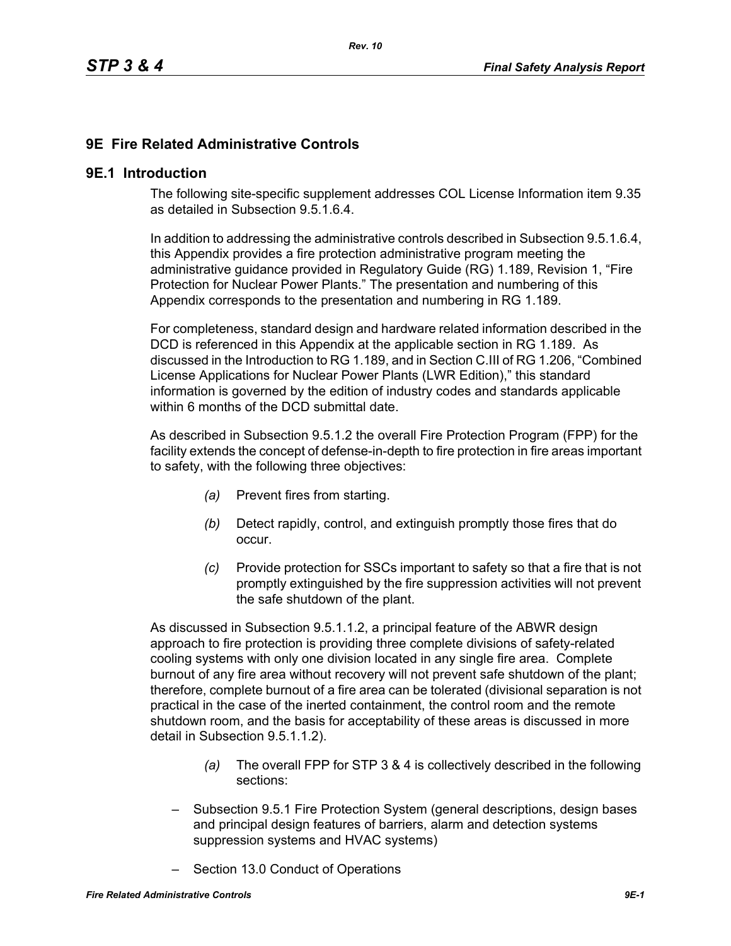# **9E Fire Related Administrative Controls**

#### **9E.1 Introduction**

The following site-specific supplement addresses COL License Information item 9.35 as detailed in Subsection 9.5.1.6.4.

In addition to addressing the administrative controls described in Subsection 9.5.1.6.4, this Appendix provides a fire protection administrative program meeting the administrative guidance provided in Regulatory Guide (RG) 1.189, Revision 1, "Fire Protection for Nuclear Power Plants." The presentation and numbering of this Appendix corresponds to the presentation and numbering in RG 1.189.

For completeness, standard design and hardware related information described in the DCD is referenced in this Appendix at the applicable section in RG 1.189. As discussed in the Introduction to RG 1.189, and in Section C.III of RG 1.206, "Combined License Applications for Nuclear Power Plants (LWR Edition)," this standard information is governed by the edition of industry codes and standards applicable within 6 months of the DCD submittal date.

As described in Subsection 9.5.1.2 the overall Fire Protection Program (FPP) for the facility extends the concept of defense-in-depth to fire protection in fire areas important to safety, with the following three objectives:

- *(a)* Prevent fires from starting.
- *(b)* Detect rapidly, control, and extinguish promptly those fires that do occur.
- *(c)* Provide protection for SSCs important to safety so that a fire that is not promptly extinguished by the fire suppression activities will not prevent the safe shutdown of the plant.

As discussed in Subsection 9.5.1.1.2, a principal feature of the ABWR design approach to fire protection is providing three complete divisions of safety-related cooling systems with only one division located in any single fire area. Complete burnout of any fire area without recovery will not prevent safe shutdown of the plant; therefore, complete burnout of a fire area can be tolerated (divisional separation is not practical in the case of the inerted containment, the control room and the remote shutdown room, and the basis for acceptability of these areas is discussed in more detail in Subsection 9.5.1.1.2).

- *(a)* The overall FPP for STP 3 & 4 is collectively described in the following sections:
- Subsection 9.5.1 Fire Protection System (general descriptions, design bases and principal design features of barriers, alarm and detection systems suppression systems and HVAC systems)
- Section 13.0 Conduct of Operations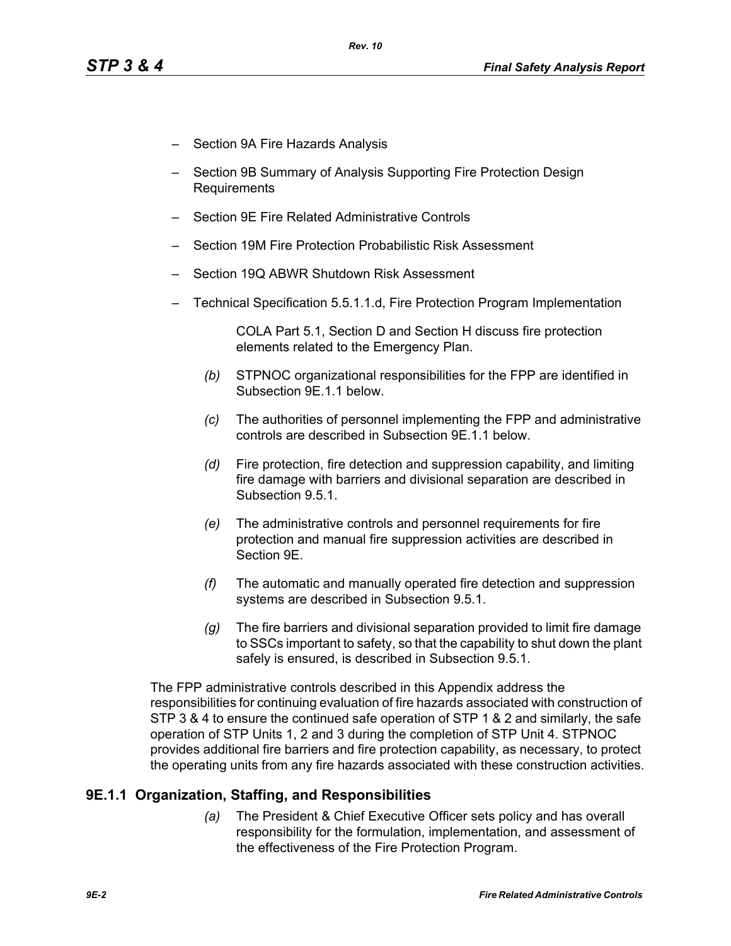- Section 9A Fire Hazards Analysis
- Section 9B Summary of Analysis Supporting Fire Protection Design Requirements
- Section 9E Fire Related Administrative Controls
- Section 19M Fire Protection Probabilistic Risk Assessment
- Section 19Q ABWR Shutdown Risk Assessment
- Technical Specification 5.5.1.1.d, Fire Protection Program Implementation

COLA Part 5.1, Section D and Section H discuss fire protection elements related to the Emergency Plan.

- *(b)* STPNOC organizational responsibilities for the FPP are identified in Subsection 9E.1.1 below.
- *(c)* The authorities of personnel implementing the FPP and administrative controls are described in Subsection 9E.1.1 below.
- *(d)* Fire protection, fire detection and suppression capability, and limiting fire damage with barriers and divisional separation are described in Subsection 9.5.1.
- *(e)* The administrative controls and personnel requirements for fire protection and manual fire suppression activities are described in Section 9E.
- *(f)* The automatic and manually operated fire detection and suppression systems are described in Subsection 9.5.1.
- *(g)* The fire barriers and divisional separation provided to limit fire damage to SSCs important to safety, so that the capability to shut down the plant safely is ensured, is described in Subsection 9.5.1.

The FPP administrative controls described in this Appendix address the responsibilities for continuing evaluation of fire hazards associated with construction of STP 3 & 4 to ensure the continued safe operation of STP 1 & 2 and similarly, the safe operation of STP Units 1, 2 and 3 during the completion of STP Unit 4. STPNOC provides additional fire barriers and fire protection capability, as necessary, to protect the operating units from any fire hazards associated with these construction activities.

### **9E.1.1 Organization, Staffing, and Responsibilities**

*(a)* The President & Chief Executive Officer sets policy and has overall responsibility for the formulation, implementation, and assessment of the effectiveness of the Fire Protection Program.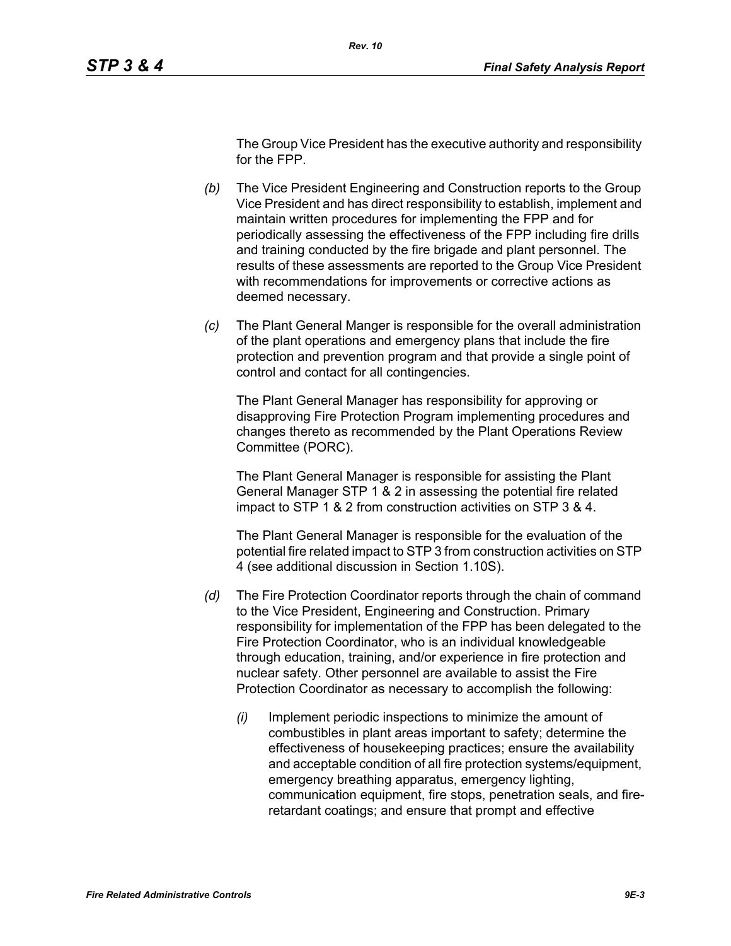The Group Vice President has the executive authority and responsibility for the FPP.

- *(b)* The Vice President Engineering and Construction reports to the Group Vice President and has direct responsibility to establish, implement and maintain written procedures for implementing the FPP and for periodically assessing the effectiveness of the FPP including fire drills and training conducted by the fire brigade and plant personnel. The results of these assessments are reported to the Group Vice President with recommendations for improvements or corrective actions as deemed necessary.
- *(c)* The Plant General Manger is responsible for the overall administration of the plant operations and emergency plans that include the fire protection and prevention program and that provide a single point of control and contact for all contingencies.

The Plant General Manager has responsibility for approving or disapproving Fire Protection Program implementing procedures and changes thereto as recommended by the Plant Operations Review Committee (PORC).

The Plant General Manager is responsible for assisting the Plant General Manager STP 1 & 2 in assessing the potential fire related impact to STP 1 & 2 from construction activities on STP 3 & 4.

The Plant General Manager is responsible for the evaluation of the potential fire related impact to STP 3 from construction activities on STP 4 (see additional discussion in Section 1.10S).

- *(d)* The Fire Protection Coordinator reports through the chain of command to the Vice President, Engineering and Construction. Primary responsibility for implementation of the FPP has been delegated to the Fire Protection Coordinator, who is an individual knowledgeable through education, training, and/or experience in fire protection and nuclear safety. Other personnel are available to assist the Fire Protection Coordinator as necessary to accomplish the following:
	- *(i)* Implement periodic inspections to minimize the amount of combustibles in plant areas important to safety; determine the effectiveness of housekeeping practices; ensure the availability and acceptable condition of all fire protection systems/equipment, emergency breathing apparatus, emergency lighting, communication equipment, fire stops, penetration seals, and fireretardant coatings; and ensure that prompt and effective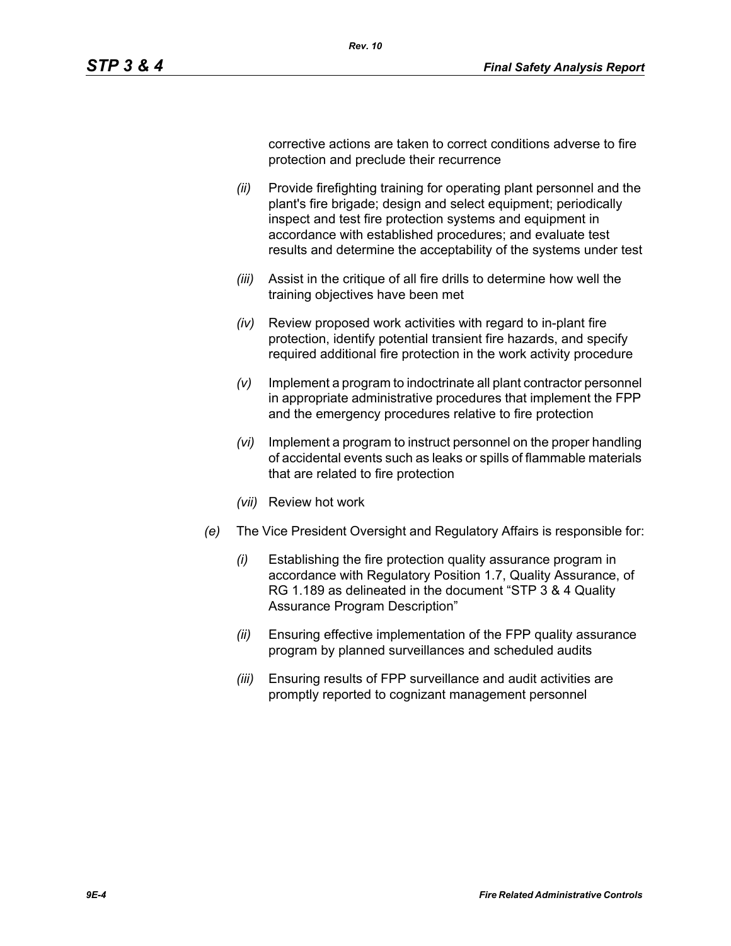corrective actions are taken to correct conditions adverse to fire protection and preclude their recurrence

*(ii)* Provide firefighting training for operating plant personnel and the plant's fire brigade; design and select equipment; periodically inspect and test fire protection systems and equipment in accordance with established procedures; and evaluate test results and determine the acceptability of the systems under test

*Rev. 10*

- *(iii)* Assist in the critique of all fire drills to determine how well the training objectives have been met
- *(iv)* Review proposed work activities with regard to in-plant fire protection, identify potential transient fire hazards, and specify required additional fire protection in the work activity procedure
- *(v)* Implement a program to indoctrinate all plant contractor personnel in appropriate administrative procedures that implement the FPP and the emergency procedures relative to fire protection
- *(vi)* Implement a program to instruct personnel on the proper handling of accidental events such as leaks or spills of flammable materials that are related to fire protection
- *(vii)* Review hot work
- *(e)* The Vice President Oversight and Regulatory Affairs is responsible for:
	- *(i)* Establishing the fire protection quality assurance program in accordance with Regulatory Position 1.7, Quality Assurance, of RG 1.189 as delineated in the document "STP 3 & 4 Quality Assurance Program Description"
	- *(ii)* Ensuring effective implementation of the FPP quality assurance program by planned surveillances and scheduled audits
	- *(iii)* Ensuring results of FPP surveillance and audit activities are promptly reported to cognizant management personnel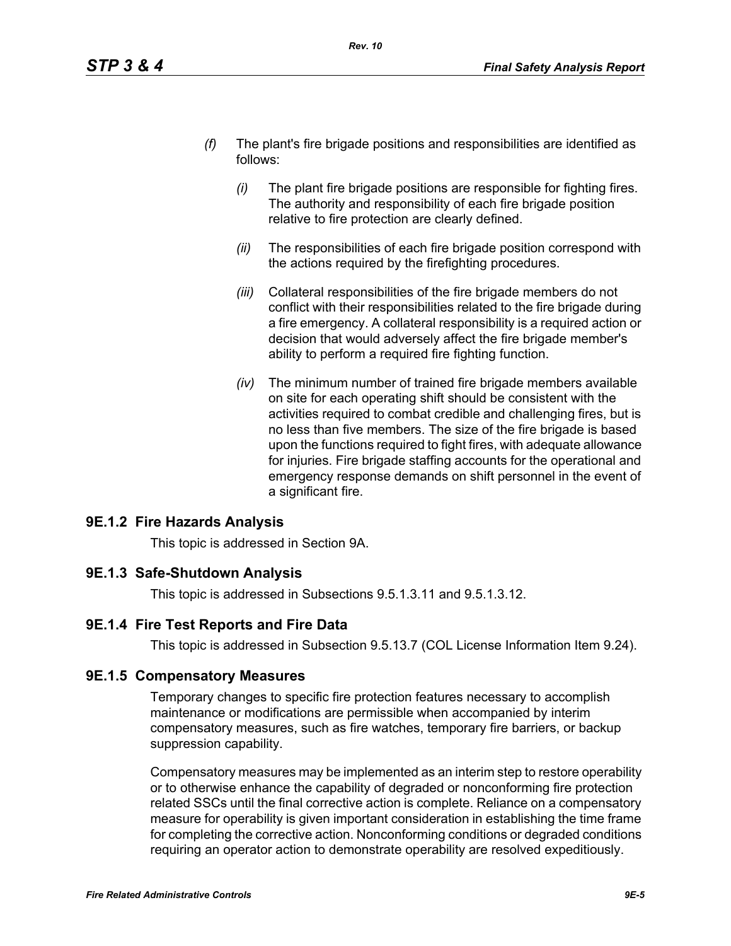- *(f)* The plant's fire brigade positions and responsibilities are identified as follows:
	- *(i)* The plant fire brigade positions are responsible for fighting fires. The authority and responsibility of each fire brigade position relative to fire protection are clearly defined.
	- *(ii)* The responsibilities of each fire brigade position correspond with the actions required by the firefighting procedures.
	- *(iii)* Collateral responsibilities of the fire brigade members do not conflict with their responsibilities related to the fire brigade during a fire emergency. A collateral responsibility is a required action or decision that would adversely affect the fire brigade member's ability to perform a required fire fighting function.
	- *(iv)* The minimum number of trained fire brigade members available on site for each operating shift should be consistent with the activities required to combat credible and challenging fires, but is no less than five members. The size of the fire brigade is based upon the functions required to fight fires, with adequate allowance for injuries. Fire brigade staffing accounts for the operational and emergency response demands on shift personnel in the event of a significant fire.

# **9E.1.2 Fire Hazards Analysis**

This topic is addressed in Section 9A.

### **9E.1.3 Safe-Shutdown Analysis**

This topic is addressed in Subsections 9.5.1.3.11 and 9.5.1.3.12.

# **9E.1.4 Fire Test Reports and Fire Data**

This topic is addressed in Subsection 9.5.13.7 (COL License Information Item 9.24).

### **9E.1.5 Compensatory Measures**

Temporary changes to specific fire protection features necessary to accomplish maintenance or modifications are permissible when accompanied by interim compensatory measures, such as fire watches, temporary fire barriers, or backup suppression capability.

Compensatory measures may be implemented as an interim step to restore operability or to otherwise enhance the capability of degraded or nonconforming fire protection related SSCs until the final corrective action is complete. Reliance on a compensatory measure for operability is given important consideration in establishing the time frame for completing the corrective action. Nonconforming conditions or degraded conditions requiring an operator action to demonstrate operability are resolved expeditiously.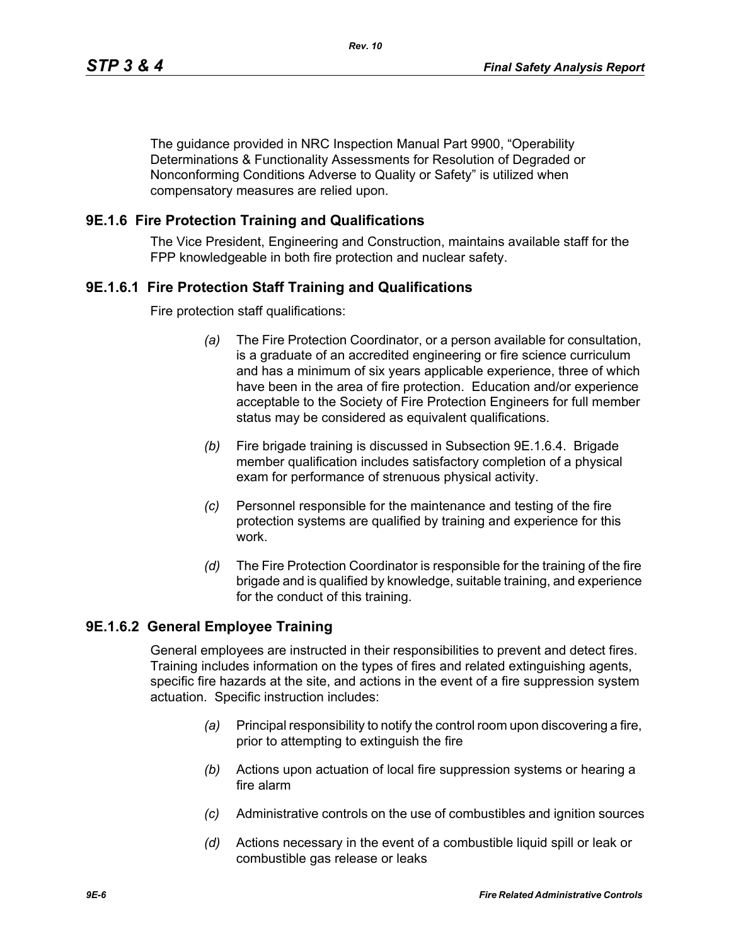The guidance provided in NRC Inspection Manual Part 9900, "Operability Determinations & Functionality Assessments for Resolution of Degraded or Nonconforming Conditions Adverse to Quality or Safety" is utilized when compensatory measures are relied upon.

### **9E.1.6 Fire Protection Training and Qualifications**

The Vice President, Engineering and Construction, maintains available staff for the FPP knowledgeable in both fire protection and nuclear safety.

### **9E.1.6.1 Fire Protection Staff Training and Qualifications**

Fire protection staff qualifications:

- *(a)* The Fire Protection Coordinator, or a person available for consultation, is a graduate of an accredited engineering or fire science curriculum and has a minimum of six years applicable experience, three of which have been in the area of fire protection. Education and/or experience acceptable to the Society of Fire Protection Engineers for full member status may be considered as equivalent qualifications.
- *(b)* Fire brigade training is discussed in Subsection 9E.1.6.4. Brigade member qualification includes satisfactory completion of a physical exam for performance of strenuous physical activity.
- *(c)* Personnel responsible for the maintenance and testing of the fire protection systems are qualified by training and experience for this work.
- *(d)* The Fire Protection Coordinator is responsible for the training of the fire brigade and is qualified by knowledge, suitable training, and experience for the conduct of this training.

### **9E.1.6.2 General Employee Training**

General employees are instructed in their responsibilities to prevent and detect fires. Training includes information on the types of fires and related extinguishing agents, specific fire hazards at the site, and actions in the event of a fire suppression system actuation. Specific instruction includes:

- *(a)* Principal responsibility to notify the control room upon discovering a fire, prior to attempting to extinguish the fire
- *(b)* Actions upon actuation of local fire suppression systems or hearing a fire alarm
- *(c)* Administrative controls on the use of combustibles and ignition sources
- *(d)* Actions necessary in the event of a combustible liquid spill or leak or combustible gas release or leaks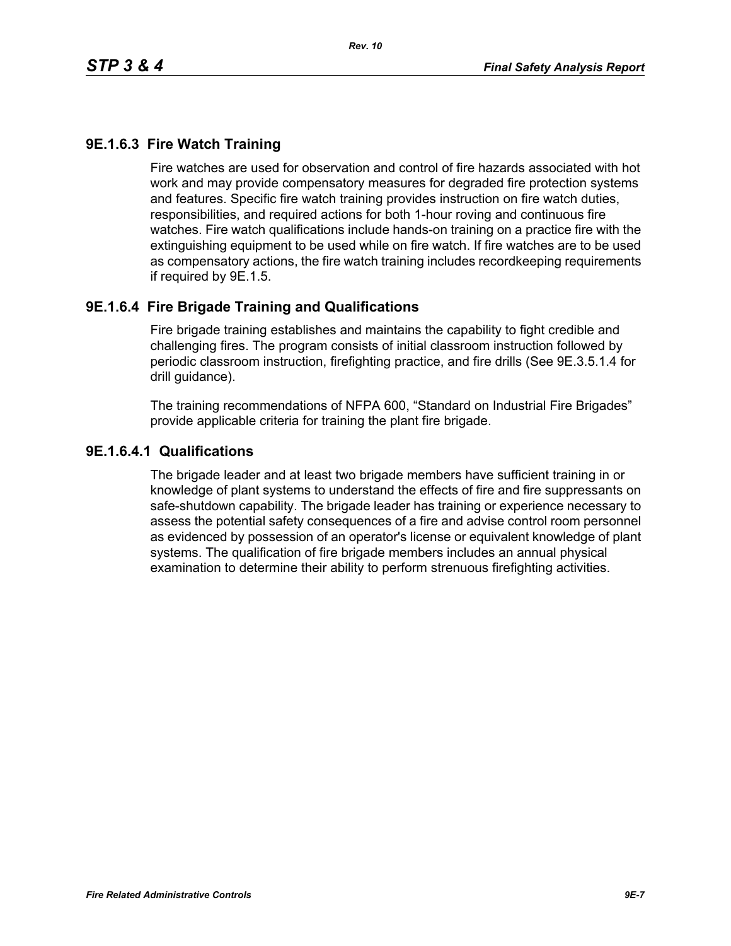# **9E.1.6.3 Fire Watch Training**

Fire watches are used for observation and control of fire hazards associated with hot work and may provide compensatory measures for degraded fire protection systems and features. Specific fire watch training provides instruction on fire watch duties, responsibilities, and required actions for both 1-hour roving and continuous fire watches. Fire watch qualifications include hands-on training on a practice fire with the extinguishing equipment to be used while on fire watch. If fire watches are to be used as compensatory actions, the fire watch training includes recordkeeping requirements if required by 9E.1.5.

### **9E.1.6.4 Fire Brigade Training and Qualifications**

Fire brigade training establishes and maintains the capability to fight credible and challenging fires. The program consists of initial classroom instruction followed by periodic classroom instruction, firefighting practice, and fire drills (See 9E.3.5.1.4 for drill guidance).

The training recommendations of NFPA 600, "Standard on Industrial Fire Brigades" provide applicable criteria for training the plant fire brigade.

### **9E.1.6.4.1 Qualifications**

The brigade leader and at least two brigade members have sufficient training in or knowledge of plant systems to understand the effects of fire and fire suppressants on safe-shutdown capability. The brigade leader has training or experience necessary to assess the potential safety consequences of a fire and advise control room personnel as evidenced by possession of an operator's license or equivalent knowledge of plant systems. The qualification of fire brigade members includes an annual physical examination to determine their ability to perform strenuous firefighting activities.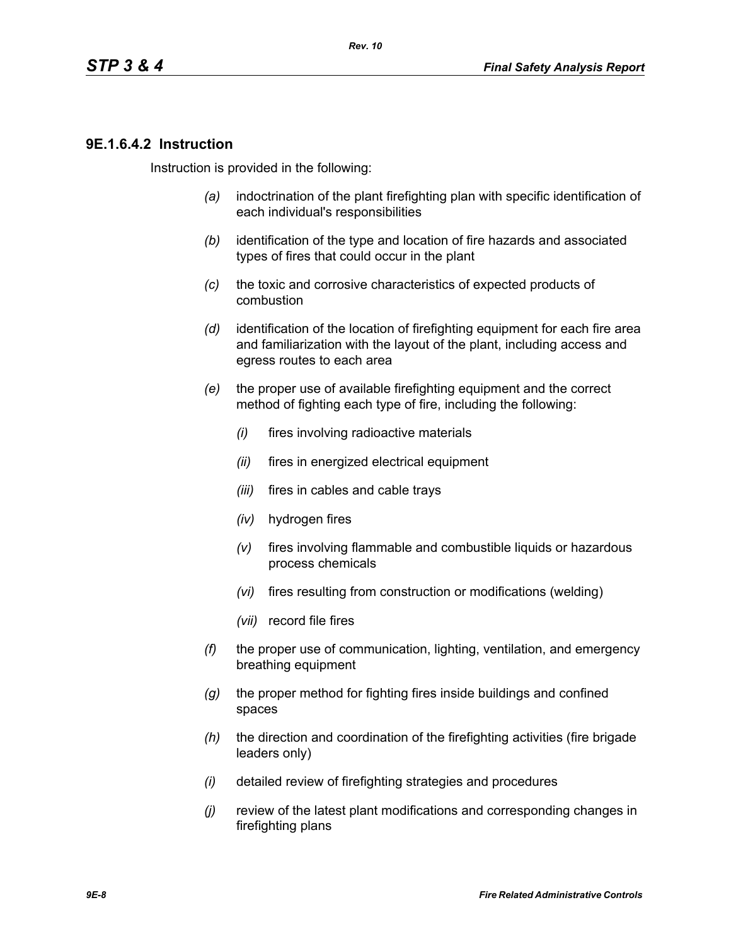### **9E.1.6.4.2 Instruction**

Instruction is provided in the following:

- *(a)* indoctrination of the plant firefighting plan with specific identification of each individual's responsibilities
- *(b)* identification of the type and location of fire hazards and associated types of fires that could occur in the plant
- *(c)* the toxic and corrosive characteristics of expected products of combustion
- *(d)* identification of the location of firefighting equipment for each fire area and familiarization with the layout of the plant, including access and egress routes to each area
- *(e)* the proper use of available firefighting equipment and the correct method of fighting each type of fire, including the following:
	- *(i)* fires involving radioactive materials
	- *(ii)* fires in energized electrical equipment
	- *(iii)* fires in cables and cable trays
	- *(iv)* hydrogen fires
	- *(v)* fires involving flammable and combustible liquids or hazardous process chemicals
	- *(vi)* fires resulting from construction or modifications (welding)
	- *(vii)* record file fires
- *(f)* the proper use of communication, lighting, ventilation, and emergency breathing equipment
- *(g)* the proper method for fighting fires inside buildings and confined spaces
- *(h)* the direction and coordination of the firefighting activities (fire brigade leaders only)
- *(i)* detailed review of firefighting strategies and procedures
- *(j)* review of the latest plant modifications and corresponding changes in firefighting plans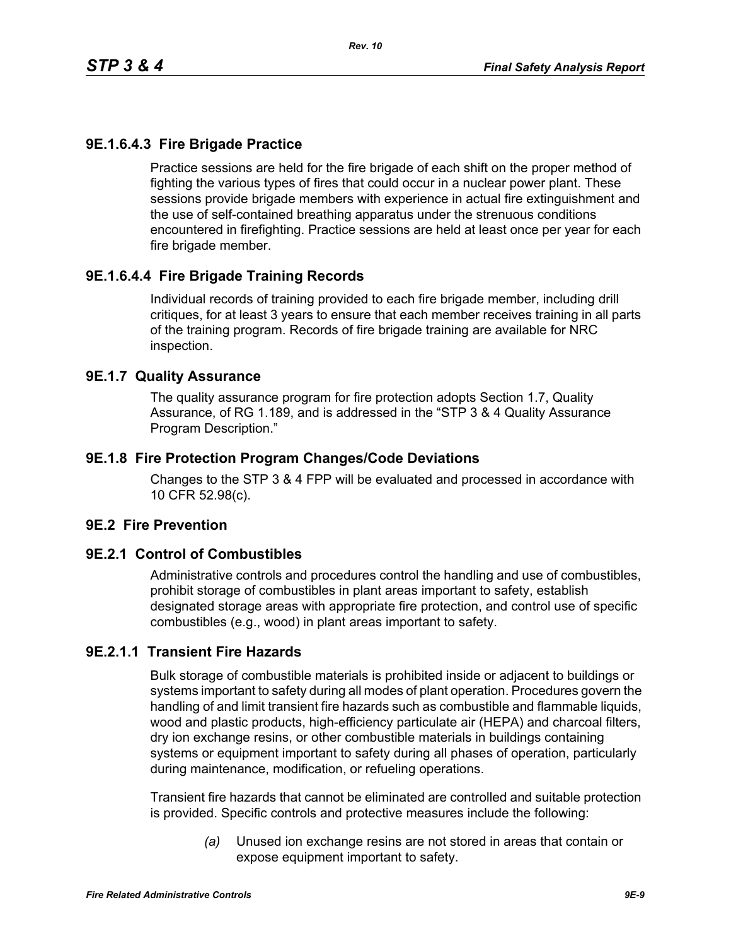# **9E.1.6.4.3 Fire Brigade Practice**

Practice sessions are held for the fire brigade of each shift on the proper method of fighting the various types of fires that could occur in a nuclear power plant. These sessions provide brigade members with experience in actual fire extinguishment and the use of self-contained breathing apparatus under the strenuous conditions encountered in firefighting. Practice sessions are held at least once per year for each fire brigade member.

# **9E.1.6.4.4 Fire Brigade Training Records**

Individual records of training provided to each fire brigade member, including drill critiques, for at least 3 years to ensure that each member receives training in all parts of the training program. Records of fire brigade training are available for NRC inspection.

### **9E.1.7 Quality Assurance**

The quality assurance program for fire protection adopts Section 1.7, Quality Assurance, of RG 1.189, and is addressed in the "STP 3 & 4 Quality Assurance Program Description."

### **9E.1.8 Fire Protection Program Changes/Code Deviations**

Changes to the STP 3 & 4 FPP will be evaluated and processed in accordance with 10 CFR 52.98(c).

### **9E.2 Fire Prevention**

### **9E.2.1 Control of Combustibles**

Administrative controls and procedures control the handling and use of combustibles, prohibit storage of combustibles in plant areas important to safety, establish designated storage areas with appropriate fire protection, and control use of specific combustibles (e.g., wood) in plant areas important to safety.

# **9E.2.1.1 Transient Fire Hazards**

Bulk storage of combustible materials is prohibited inside or adjacent to buildings or systems important to safety during all modes of plant operation. Procedures govern the handling of and limit transient fire hazards such as combustible and flammable liquids, wood and plastic products, high-efficiency particulate air (HEPA) and charcoal filters, dry ion exchange resins, or other combustible materials in buildings containing systems or equipment important to safety during all phases of operation, particularly during maintenance, modification, or refueling operations.

Transient fire hazards that cannot be eliminated are controlled and suitable protection is provided. Specific controls and protective measures include the following:

> *(a)* Unused ion exchange resins are not stored in areas that contain or expose equipment important to safety.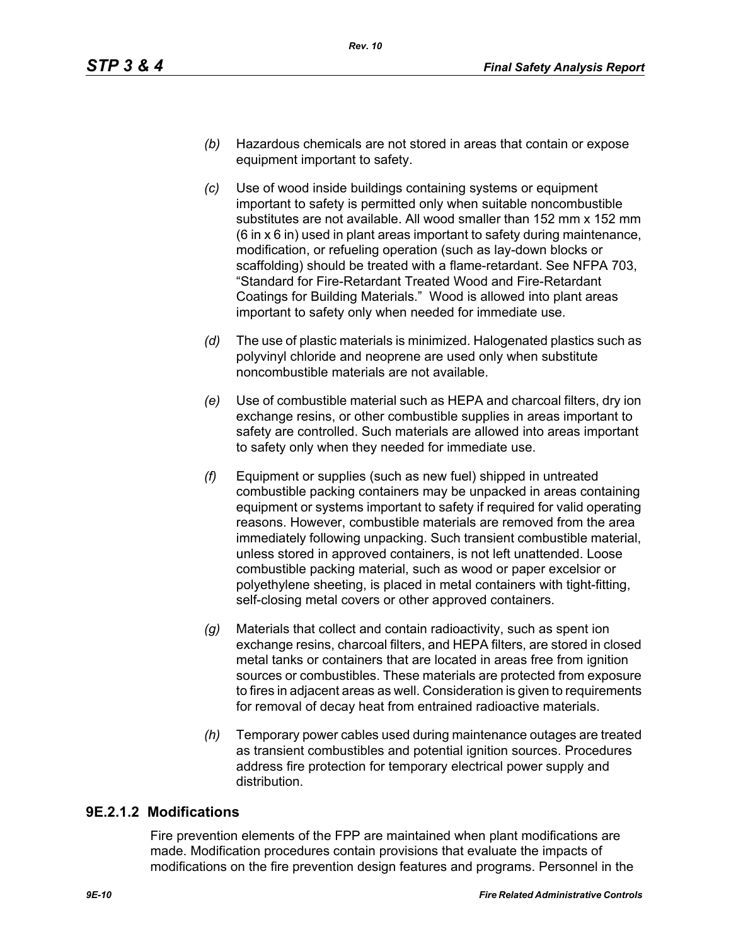- *(b)* Hazardous chemicals are not stored in areas that contain or expose equipment important to safety.
- *(c)* Use of wood inside buildings containing systems or equipment important to safety is permitted only when suitable noncombustible substitutes are not available. All wood smaller than 152 mm x 152 mm (6 in x 6 in) used in plant areas important to safety during maintenance, modification, or refueling operation (such as lay-down blocks or scaffolding) should be treated with a flame-retardant. See NFPA 703, "Standard for Fire-Retardant Treated Wood and Fire-Retardant Coatings for Building Materials." Wood is allowed into plant areas important to safety only when needed for immediate use.
- *(d)* The use of plastic materials is minimized. Halogenated plastics such as polyvinyl chloride and neoprene are used only when substitute noncombustible materials are not available.
- *(e)* Use of combustible material such as HEPA and charcoal filters, dry ion exchange resins, or other combustible supplies in areas important to safety are controlled. Such materials are allowed into areas important to safety only when they needed for immediate use.
- *(f)* Equipment or supplies (such as new fuel) shipped in untreated combustible packing containers may be unpacked in areas containing equipment or systems important to safety if required for valid operating reasons. However, combustible materials are removed from the area immediately following unpacking. Such transient combustible material, unless stored in approved containers, is not left unattended. Loose combustible packing material, such as wood or paper excelsior or polyethylene sheeting, is placed in metal containers with tight-fitting, self-closing metal covers or other approved containers.
- *(g)* Materials that collect and contain radioactivity, such as spent ion exchange resins, charcoal filters, and HEPA filters, are stored in closed metal tanks or containers that are located in areas free from ignition sources or combustibles. These materials are protected from exposure to fires in adjacent areas as well. Consideration is given to requirements for removal of decay heat from entrained radioactive materials.
- *(h)* Temporary power cables used during maintenance outages are treated as transient combustibles and potential ignition sources. Procedures address fire protection for temporary electrical power supply and distribution.

# **9E.2.1.2 Modifications**

Fire prevention elements of the FPP are maintained when plant modifications are made. Modification procedures contain provisions that evaluate the impacts of modifications on the fire prevention design features and programs. Personnel in the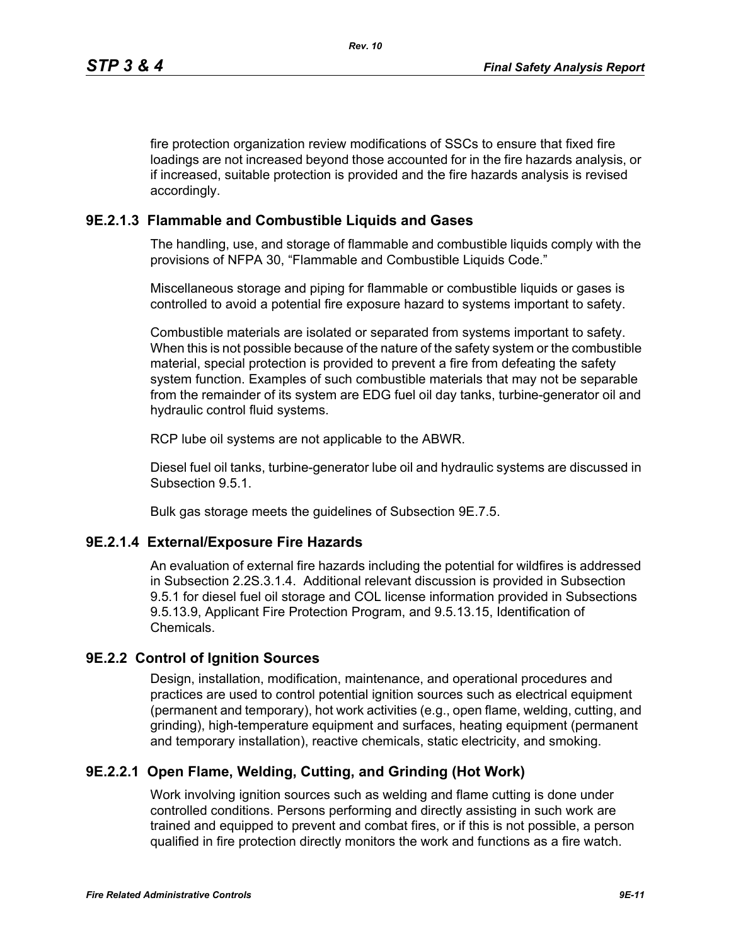fire protection organization review modifications of SSCs to ensure that fixed fire loadings are not increased beyond those accounted for in the fire hazards analysis, or if increased, suitable protection is provided and the fire hazards analysis is revised accordingly.

# **9E.2.1.3 Flammable and Combustible Liquids and Gases**

The handling, use, and storage of flammable and combustible liquids comply with the provisions of NFPA 30, "Flammable and Combustible Liquids Code."

Miscellaneous storage and piping for flammable or combustible liquids or gases is controlled to avoid a potential fire exposure hazard to systems important to safety.

Combustible materials are isolated or separated from systems important to safety. When this is not possible because of the nature of the safety system or the combustible material, special protection is provided to prevent a fire from defeating the safety system function. Examples of such combustible materials that may not be separable from the remainder of its system are EDG fuel oil day tanks, turbine-generator oil and hydraulic control fluid systems.

RCP lube oil systems are not applicable to the ABWR.

Diesel fuel oil tanks, turbine-generator lube oil and hydraulic systems are discussed in Subsection 9.5.1.

Bulk gas storage meets the guidelines of Subsection 9E.7.5.

# **9E.2.1.4 External/Exposure Fire Hazards**

An evaluation of external fire hazards including the potential for wildfires is addressed in Subsection 2.2S.3.1.4. Additional relevant discussion is provided in Subsection 9.5.1 for diesel fuel oil storage and COL license information provided in Subsections 9.5.13.9, Applicant Fire Protection Program, and 9.5.13.15, Identification of Chemicals.

# **9E.2.2 Control of Ignition Sources**

Design, installation, modification, maintenance, and operational procedures and practices are used to control potential ignition sources such as electrical equipment (permanent and temporary), hot work activities (e.g., open flame, welding, cutting, and grinding), high-temperature equipment and surfaces, heating equipment (permanent and temporary installation), reactive chemicals, static electricity, and smoking.

# **9E.2.2.1 Open Flame, Welding, Cutting, and Grinding (Hot Work)**

Work involving ignition sources such as welding and flame cutting is done under controlled conditions. Persons performing and directly assisting in such work are trained and equipped to prevent and combat fires, or if this is not possible, a person qualified in fire protection directly monitors the work and functions as a fire watch.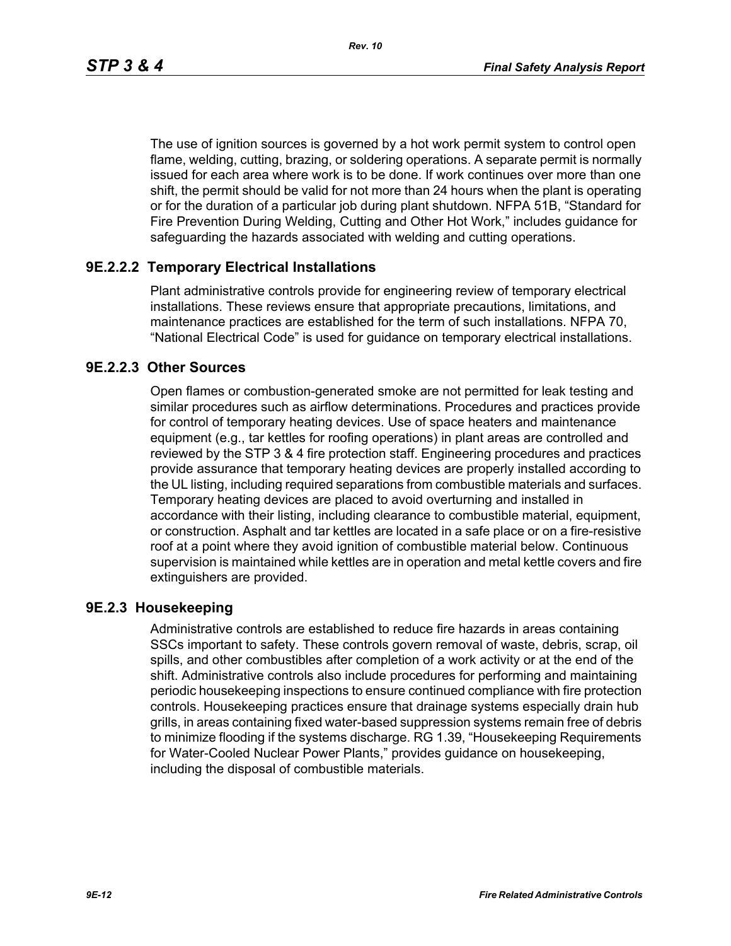*Rev. 10*

The use of ignition sources is governed by a hot work permit system to control open flame, welding, cutting, brazing, or soldering operations. A separate permit is normally issued for each area where work is to be done. If work continues over more than one shift, the permit should be valid for not more than 24 hours when the plant is operating or for the duration of a particular job during plant shutdown. NFPA 51B, "Standard for Fire Prevention During Welding, Cutting and Other Hot Work," includes guidance for safeguarding the hazards associated with welding and cutting operations.

# **9E.2.2.2 Temporary Electrical Installations**

Plant administrative controls provide for engineering review of temporary electrical installations. These reviews ensure that appropriate precautions, limitations, and maintenance practices are established for the term of such installations. NFPA 70, "National Electrical Code" is used for guidance on temporary electrical installations.

# **9E.2.2.3 Other Sources**

Open flames or combustion-generated smoke are not permitted for leak testing and similar procedures such as airflow determinations. Procedures and practices provide for control of temporary heating devices. Use of space heaters and maintenance equipment (e.g., tar kettles for roofing operations) in plant areas are controlled and reviewed by the STP 3 & 4 fire protection staff. Engineering procedures and practices provide assurance that temporary heating devices are properly installed according to the UL listing, including required separations from combustible materials and surfaces. Temporary heating devices are placed to avoid overturning and installed in accordance with their listing, including clearance to combustible material, equipment, or construction. Asphalt and tar kettles are located in a safe place or on a fire-resistive roof at a point where they avoid ignition of combustible material below. Continuous supervision is maintained while kettles are in operation and metal kettle covers and fire extinguishers are provided.

# **9E.2.3 Housekeeping**

Administrative controls are established to reduce fire hazards in areas containing SSCs important to safety. These controls govern removal of waste, debris, scrap, oil spills, and other combustibles after completion of a work activity or at the end of the shift. Administrative controls also include procedures for performing and maintaining periodic housekeeping inspections to ensure continued compliance with fire protection controls. Housekeeping practices ensure that drainage systems especially drain hub grills, in areas containing fixed water-based suppression systems remain free of debris to minimize flooding if the systems discharge. RG 1.39, "Housekeeping Requirements for Water-Cooled Nuclear Power Plants," provides guidance on housekeeping, including the disposal of combustible materials.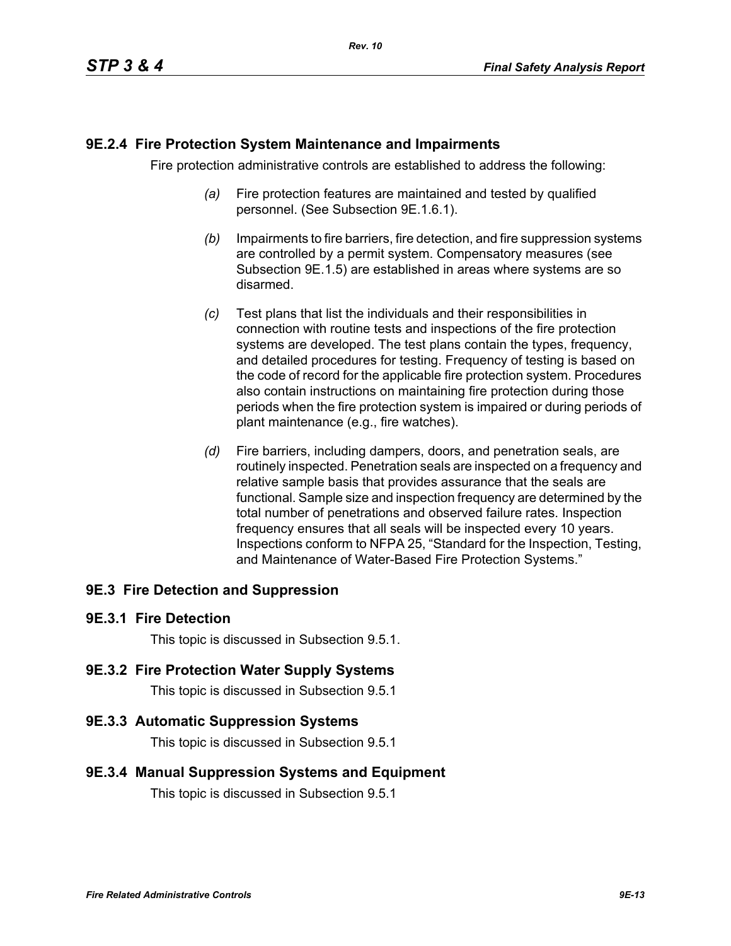### **9E.2.4 Fire Protection System Maintenance and Impairments**

Fire protection administrative controls are established to address the following:

- *(a)* Fire protection features are maintained and tested by qualified personnel. (See Subsection 9E.1.6.1).
- *(b)* Impairments to fire barriers, fire detection, and fire suppression systems are controlled by a permit system. Compensatory measures (see Subsection 9E.1.5) are established in areas where systems are so disarmed.
- *(c)* Test plans that list the individuals and their responsibilities in connection with routine tests and inspections of the fire protection systems are developed. The test plans contain the types, frequency, and detailed procedures for testing. Frequency of testing is based on the code of record for the applicable fire protection system. Procedures also contain instructions on maintaining fire protection during those periods when the fire protection system is impaired or during periods of plant maintenance (e.g., fire watches).
- *(d)* Fire barriers, including dampers, doors, and penetration seals, are routinely inspected. Penetration seals are inspected on a frequency and relative sample basis that provides assurance that the seals are functional. Sample size and inspection frequency are determined by the total number of penetrations and observed failure rates. Inspection frequency ensures that all seals will be inspected every 10 years. Inspections conform to NFPA 25, "Standard for the Inspection, Testing, and Maintenance of Water-Based Fire Protection Systems."

# **9E.3 Fire Detection and Suppression**

### **9E.3.1 Fire Detection**

This topic is discussed in Subsection 9.5.1.

### **9E.3.2 Fire Protection Water Supply Systems**

This topic is discussed in Subsection 9.5.1

### **9E.3.3 Automatic Suppression Systems**

This topic is discussed in Subsection 9.5.1

### **9E.3.4 Manual Suppression Systems and Equipment**

This topic is discussed in Subsection 9.5.1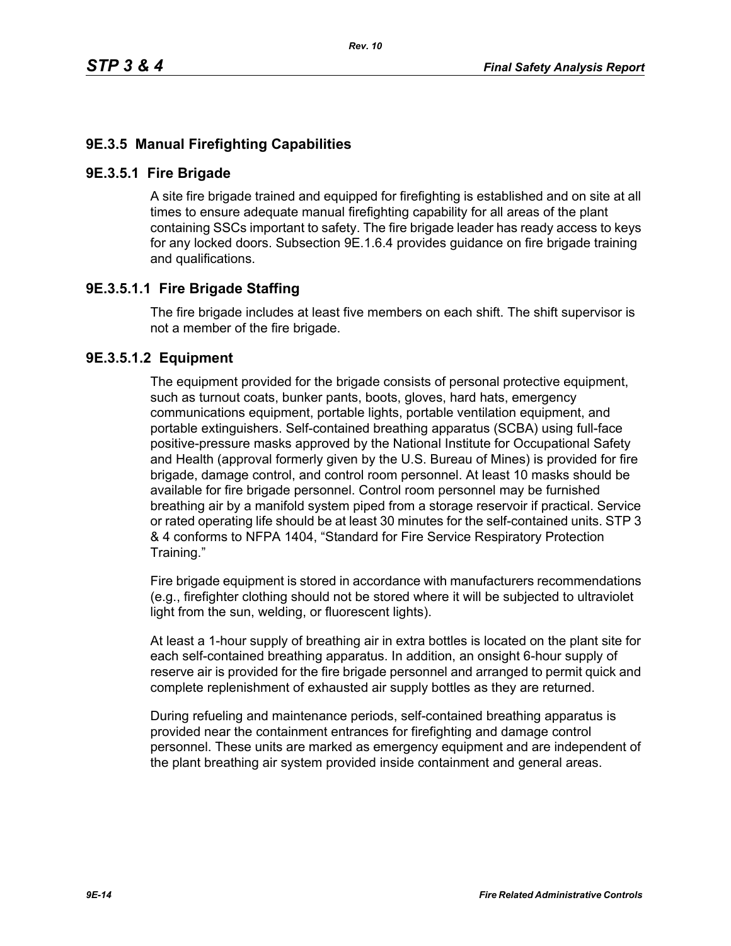# **9E.3.5 Manual Firefighting Capabilities**

### **9E.3.5.1 Fire Brigade**

A site fire brigade trained and equipped for firefighting is established and on site at all times to ensure adequate manual firefighting capability for all areas of the plant containing SSCs important to safety. The fire brigade leader has ready access to keys for any locked doors. Subsection 9E.1.6.4 provides guidance on fire brigade training and qualifications.

### **9E.3.5.1.1 Fire Brigade Staffing**

The fire brigade includes at least five members on each shift. The shift supervisor is not a member of the fire brigade.

### **9E.3.5.1.2 Equipment**

The equipment provided for the brigade consists of personal protective equipment, such as turnout coats, bunker pants, boots, gloves, hard hats, emergency communications equipment, portable lights, portable ventilation equipment, and portable extinguishers. Self-contained breathing apparatus (SCBA) using full-face positive-pressure masks approved by the National Institute for Occupational Safety and Health (approval formerly given by the U.S. Bureau of Mines) is provided for fire brigade, damage control, and control room personnel. At least 10 masks should be available for fire brigade personnel. Control room personnel may be furnished breathing air by a manifold system piped from a storage reservoir if practical. Service or rated operating life should be at least 30 minutes for the self-contained units. STP 3 & 4 conforms to NFPA 1404, "Standard for Fire Service Respiratory Protection Training."

Fire brigade equipment is stored in accordance with manufacturers recommendations (e.g., firefighter clothing should not be stored where it will be subjected to ultraviolet light from the sun, welding, or fluorescent lights).

At least a 1-hour supply of breathing air in extra bottles is located on the plant site for each self-contained breathing apparatus. In addition, an onsight 6-hour supply of reserve air is provided for the fire brigade personnel and arranged to permit quick and complete replenishment of exhausted air supply bottles as they are returned.

During refueling and maintenance periods, self-contained breathing apparatus is provided near the containment entrances for firefighting and damage control personnel. These units are marked as emergency equipment and are independent of the plant breathing air system provided inside containment and general areas.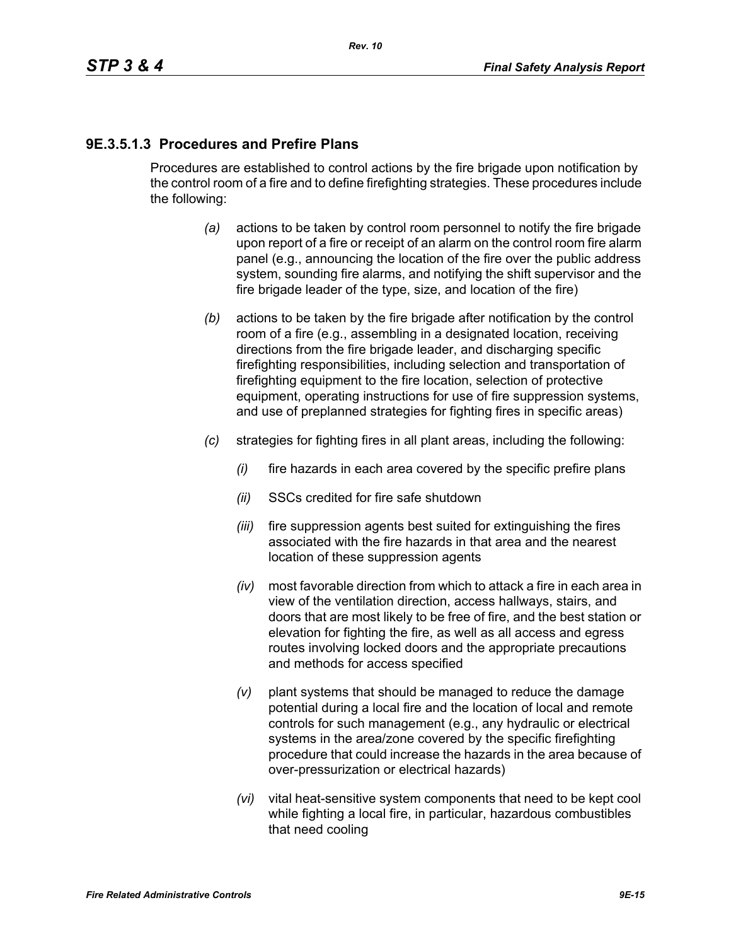# **9E.3.5.1.3 Procedures and Prefire Plans**

Procedures are established to control actions by the fire brigade upon notification by the control room of a fire and to define firefighting strategies. These procedures include the following:

- *(a)* actions to be taken by control room personnel to notify the fire brigade upon report of a fire or receipt of an alarm on the control room fire alarm panel (e.g., announcing the location of the fire over the public address system, sounding fire alarms, and notifying the shift supervisor and the fire brigade leader of the type, size, and location of the fire)
- *(b)* actions to be taken by the fire brigade after notification by the control room of a fire (e.g., assembling in a designated location, receiving directions from the fire brigade leader, and discharging specific firefighting responsibilities, including selection and transportation of firefighting equipment to the fire location, selection of protective equipment, operating instructions for use of fire suppression systems, and use of preplanned strategies for fighting fires in specific areas)
- *(c)* strategies for fighting fires in all plant areas, including the following:
	- *(i)* fire hazards in each area covered by the specific prefire plans
	- *(ii)* SSCs credited for fire safe shutdown
	- *(iii)* fire suppression agents best suited for extinguishing the fires associated with the fire hazards in that area and the nearest location of these suppression agents
	- *(iv)* most favorable direction from which to attack a fire in each area in view of the ventilation direction, access hallways, stairs, and doors that are most likely to be free of fire, and the best station or elevation for fighting the fire, as well as all access and egress routes involving locked doors and the appropriate precautions and methods for access specified
	- *(v)* plant systems that should be managed to reduce the damage potential during a local fire and the location of local and remote controls for such management (e.g., any hydraulic or electrical systems in the area/zone covered by the specific firefighting procedure that could increase the hazards in the area because of over-pressurization or electrical hazards)
	- *(vi)* vital heat-sensitive system components that need to be kept cool while fighting a local fire, in particular, hazardous combustibles that need cooling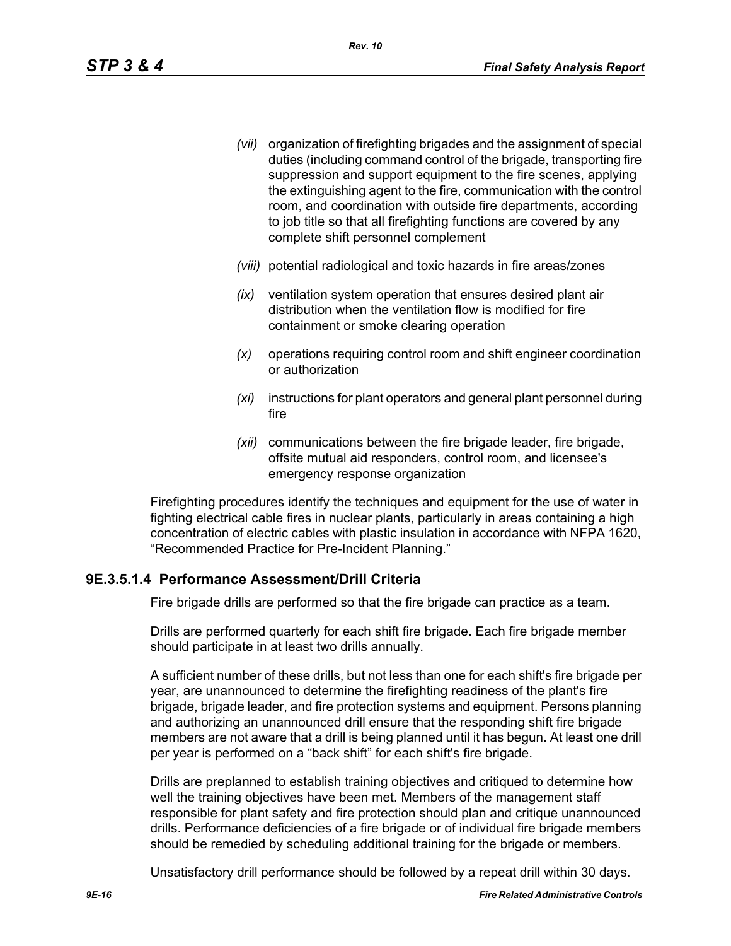- *(vii)* organization of firefighting brigades and the assignment of special duties (including command control of the brigade, transporting fire suppression and support equipment to the fire scenes, applying the extinguishing agent to the fire, communication with the control room, and coordination with outside fire departments, according to job title so that all firefighting functions are covered by any complete shift personnel complement
- *(viii)* potential radiological and toxic hazards in fire areas/zones
- *(ix)* ventilation system operation that ensures desired plant air distribution when the ventilation flow is modified for fire containment or smoke clearing operation
- *(x)* operations requiring control room and shift engineer coordination or authorization
- *(xi)* instructions for plant operators and general plant personnel during fire
- *(xii)* communications between the fire brigade leader, fire brigade, offsite mutual aid responders, control room, and licensee's emergency response organization

Firefighting procedures identify the techniques and equipment for the use of water in fighting electrical cable fires in nuclear plants, particularly in areas containing a high concentration of electric cables with plastic insulation in accordance with NFPA 1620, "Recommended Practice for Pre-Incident Planning."

# **9E.3.5.1.4 Performance Assessment/Drill Criteria**

Fire brigade drills are performed so that the fire brigade can practice as a team.

Drills are performed quarterly for each shift fire brigade. Each fire brigade member should participate in at least two drills annually.

A sufficient number of these drills, but not less than one for each shift's fire brigade per year, are unannounced to determine the firefighting readiness of the plant's fire brigade, brigade leader, and fire protection systems and equipment. Persons planning and authorizing an unannounced drill ensure that the responding shift fire brigade members are not aware that a drill is being planned until it has begun. At least one drill per year is performed on a "back shift" for each shift's fire brigade.

Drills are preplanned to establish training objectives and critiqued to determine how well the training objectives have been met. Members of the management staff responsible for plant safety and fire protection should plan and critique unannounced drills. Performance deficiencies of a fire brigade or of individual fire brigade members should be remedied by scheduling additional training for the brigade or members.

Unsatisfactory drill performance should be followed by a repeat drill within 30 days.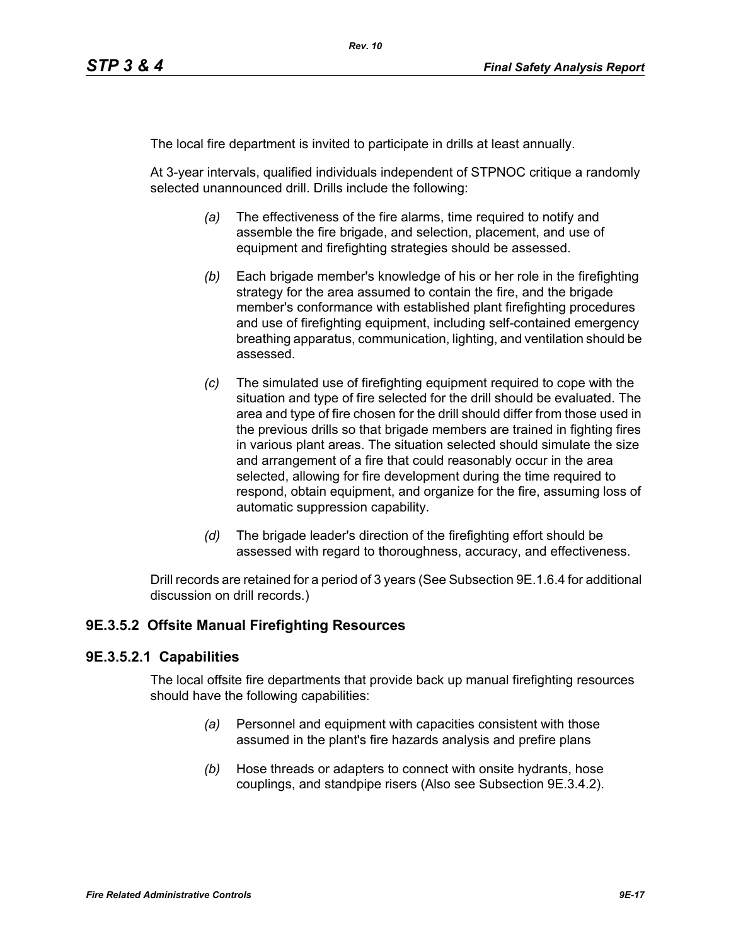The local fire department is invited to participate in drills at least annually.

At 3-year intervals, qualified individuals independent of STPNOC critique a randomly selected unannounced drill. Drills include the following:

- *(a)* The effectiveness of the fire alarms, time required to notify and assemble the fire brigade, and selection, placement, and use of equipment and firefighting strategies should be assessed.
- *(b)* Each brigade member's knowledge of his or her role in the firefighting strategy for the area assumed to contain the fire, and the brigade member's conformance with established plant firefighting procedures and use of firefighting equipment, including self-contained emergency breathing apparatus, communication, lighting, and ventilation should be assessed.
- *(c)* The simulated use of firefighting equipment required to cope with the situation and type of fire selected for the drill should be evaluated. The area and type of fire chosen for the drill should differ from those used in the previous drills so that brigade members are trained in fighting fires in various plant areas. The situation selected should simulate the size and arrangement of a fire that could reasonably occur in the area selected, allowing for fire development during the time required to respond, obtain equipment, and organize for the fire, assuming loss of automatic suppression capability.
- *(d)* The brigade leader's direction of the firefighting effort should be assessed with regard to thoroughness, accuracy, and effectiveness.

Drill records are retained for a period of 3 years (See Subsection 9E.1.6.4 for additional discussion on drill records.)

### **9E.3.5.2 Offsite Manual Firefighting Resources**

### **9E.3.5.2.1 Capabilities**

The local offsite fire departments that provide back up manual firefighting resources should have the following capabilities:

- *(a)* Personnel and equipment with capacities consistent with those assumed in the plant's fire hazards analysis and prefire plans
- *(b)* Hose threads or adapters to connect with onsite hydrants, hose couplings, and standpipe risers (Also see Subsection 9E.3.4.2).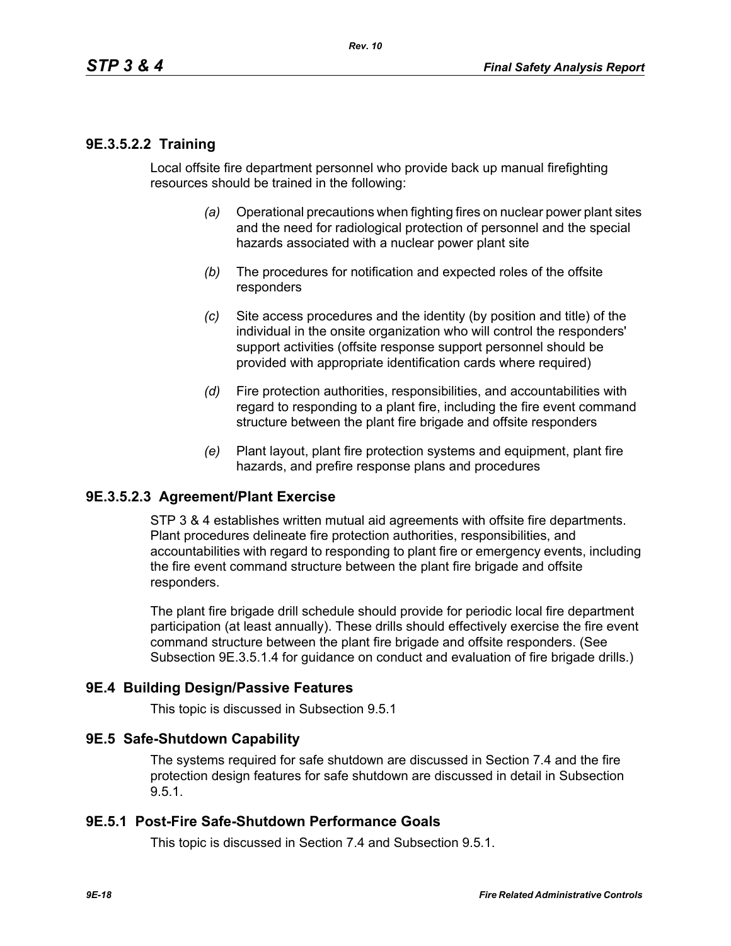### **9E.3.5.2.2 Training**

Local offsite fire department personnel who provide back up manual firefighting resources should be trained in the following:

- *(a)* Operational precautions when fighting fires on nuclear power plant sites and the need for radiological protection of personnel and the special hazards associated with a nuclear power plant site
- *(b)* The procedures for notification and expected roles of the offsite responders
- *(c)* Site access procedures and the identity (by position and title) of the individual in the onsite organization who will control the responders' support activities (offsite response support personnel should be provided with appropriate identification cards where required)
- *(d)* Fire protection authorities, responsibilities, and accountabilities with regard to responding to a plant fire, including the fire event command structure between the plant fire brigade and offsite responders
- *(e)* Plant layout, plant fire protection systems and equipment, plant fire hazards, and prefire response plans and procedures

### **9E.3.5.2.3 Agreement/Plant Exercise**

STP 3 & 4 establishes written mutual aid agreements with offsite fire departments. Plant procedures delineate fire protection authorities, responsibilities, and accountabilities with regard to responding to plant fire or emergency events, including the fire event command structure between the plant fire brigade and offsite responders.

The plant fire brigade drill schedule should provide for periodic local fire department participation (at least annually). These drills should effectively exercise the fire event command structure between the plant fire brigade and offsite responders. (See Subsection 9E.3.5.1.4 for guidance on conduct and evaluation of fire brigade drills.)

#### **9E.4 Building Design/Passive Features**

This topic is discussed in Subsection 9.5.1

#### **9E.5 Safe-Shutdown Capability**

The systems required for safe shutdown are discussed in Section 7.4 and the fire protection design features for safe shutdown are discussed in detail in Subsection 9.5.1.

### **9E.5.1 Post-Fire Safe-Shutdown Performance Goals**

This topic is discussed in Section 7.4 and Subsection 9.5.1.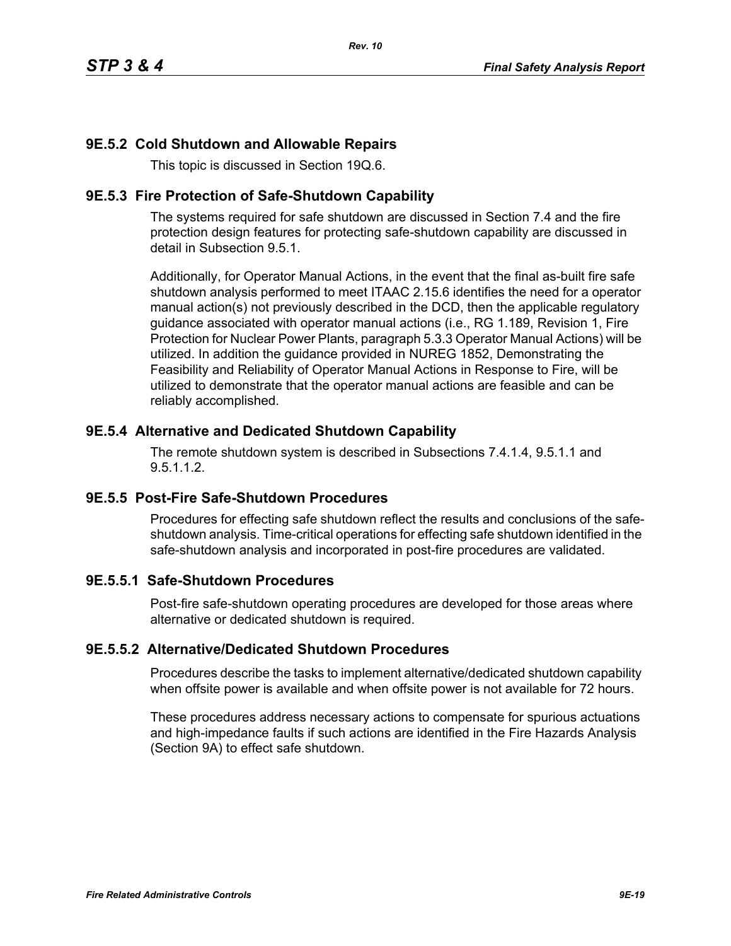# **9E.5.2 Cold Shutdown and Allowable Repairs**

This topic is discussed in Section 19Q.6.

### **9E.5.3 Fire Protection of Safe-Shutdown Capability**

The systems required for safe shutdown are discussed in Section 7.4 and the fire protection design features for protecting safe-shutdown capability are discussed in detail in Subsection 9.5.1.

Additionally, for Operator Manual Actions, in the event that the final as-built fire safe shutdown analysis performed to meet ITAAC 2.15.6 identifies the need for a operator manual action(s) not previously described in the DCD, then the applicable regulatory guidance associated with operator manual actions (i.e., RG 1.189, Revision 1, Fire Protection for Nuclear Power Plants, paragraph 5.3.3 Operator Manual Actions) will be utilized. In addition the guidance provided in NUREG 1852, Demonstrating the Feasibility and Reliability of Operator Manual Actions in Response to Fire, will be utilized to demonstrate that the operator manual actions are feasible and can be reliably accomplished.

### **9E.5.4 Alternative and Dedicated Shutdown Capability**

The remote shutdown system is described in Subsections 7.4.1.4, 9.5.1.1 and 9.5.1.1.2.

# **9E.5.5 Post-Fire Safe-Shutdown Procedures**

Procedures for effecting safe shutdown reflect the results and conclusions of the safeshutdown analysis. Time-critical operations for effecting safe shutdown identified in the safe-shutdown analysis and incorporated in post-fire procedures are validated.

# **9E.5.5.1 Safe-Shutdown Procedures**

Post-fire safe-shutdown operating procedures are developed for those areas where alternative or dedicated shutdown is required.

### **9E.5.5.2 Alternative/Dedicated Shutdown Procedures**

Procedures describe the tasks to implement alternative/dedicated shutdown capability when offsite power is available and when offsite power is not available for 72 hours.

These procedures address necessary actions to compensate for spurious actuations and high-impedance faults if such actions are identified in the Fire Hazards Analysis (Section 9A) to effect safe shutdown.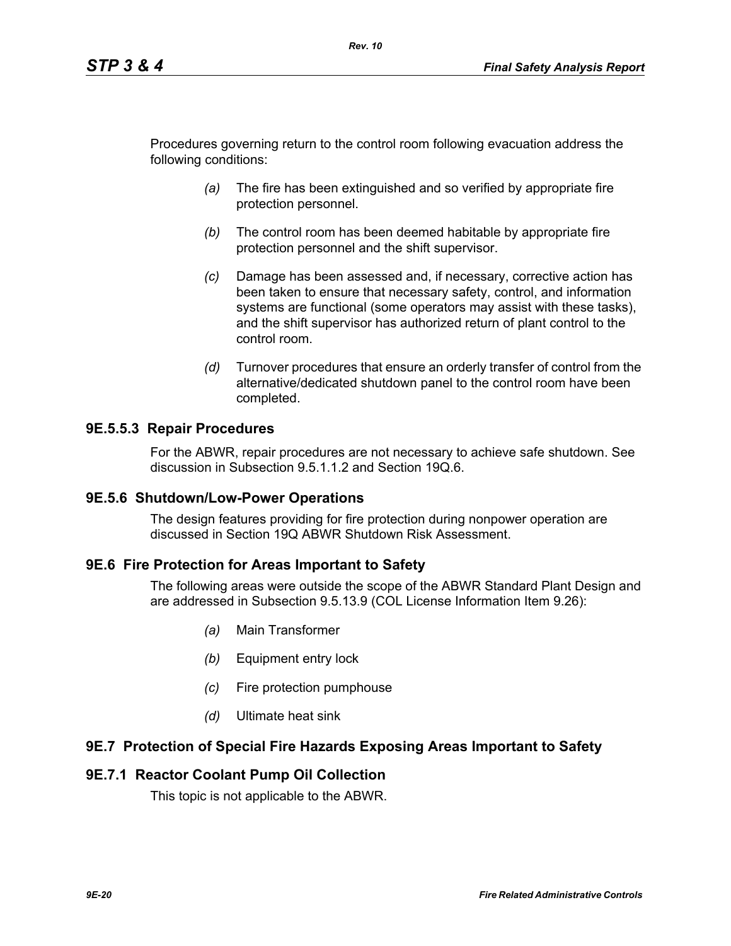Procedures governing return to the control room following evacuation address the following conditions:

*Rev. 10*

- *(a)* The fire has been extinguished and so verified by appropriate fire protection personnel.
- *(b)* The control room has been deemed habitable by appropriate fire protection personnel and the shift supervisor.
- *(c)* Damage has been assessed and, if necessary, corrective action has been taken to ensure that necessary safety, control, and information systems are functional (some operators may assist with these tasks), and the shift supervisor has authorized return of plant control to the control room.
- *(d)* Turnover procedures that ensure an orderly transfer of control from the alternative/dedicated shutdown panel to the control room have been completed.

### **9E.5.5.3 Repair Procedures**

For the ABWR, repair procedures are not necessary to achieve safe shutdown. See discussion in Subsection 9.5.1.1.2 and Section 19Q.6.

### **9E.5.6 Shutdown/Low-Power Operations**

The design features providing for fire protection during nonpower operation are discussed in Section 19Q ABWR Shutdown Risk Assessment.

### **9E.6 Fire Protection for Areas Important to Safety**

The following areas were outside the scope of the ABWR Standard Plant Design and are addressed in Subsection 9.5.13.9 (COL License Information Item 9.26):

- *(a)* Main Transformer
- *(b)* Equipment entry lock
- *(c)* Fire protection pumphouse
- *(d)* Ultimate heat sink

### **9E.7 Protection of Special Fire Hazards Exposing Areas Important to Safety**

### **9E.7.1 Reactor Coolant Pump Oil Collection**

This topic is not applicable to the ABWR.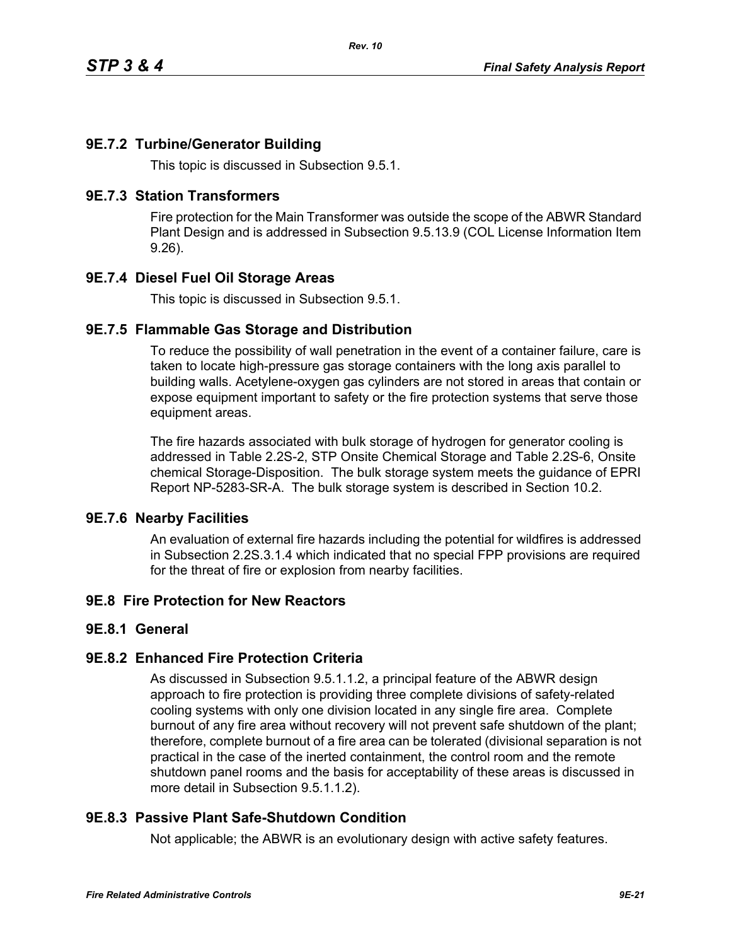# **9E.7.2 Turbine/Generator Building**

This topic is discussed in Subsection 9.5.1.

### **9E.7.3 Station Transformers**

Fire protection for the Main Transformer was outside the scope of the ABWR Standard Plant Design and is addressed in Subsection 9.5.13.9 (COL License Information Item 9.26).

# **9E.7.4 Diesel Fuel Oil Storage Areas**

This topic is discussed in Subsection 9.5.1.

### **9E.7.5 Flammable Gas Storage and Distribution**

To reduce the possibility of wall penetration in the event of a container failure, care is taken to locate high-pressure gas storage containers with the long axis parallel to building walls. Acetylene-oxygen gas cylinders are not stored in areas that contain or expose equipment important to safety or the fire protection systems that serve those equipment areas.

The fire hazards associated with bulk storage of hydrogen for generator cooling is addressed in Table 2.2S-2, STP Onsite Chemical Storage and Table 2.2S-6, Onsite chemical Storage-Disposition. The bulk storage system meets the guidance of EPRI Report NP-5283-SR-A. The bulk storage system is described in Section 10.2.

### **9E.7.6 Nearby Facilities**

An evaluation of external fire hazards including the potential for wildfires is addressed in Subsection 2.2S.3.1.4 which indicated that no special FPP provisions are required for the threat of fire or explosion from nearby facilities.

# **9E.8 Fire Protection for New Reactors**

### **9E.8.1 General**

### **9E.8.2 Enhanced Fire Protection Criteria**

As discussed in Subsection 9.5.1.1.2, a principal feature of the ABWR design approach to fire protection is providing three complete divisions of safety-related cooling systems with only one division located in any single fire area. Complete burnout of any fire area without recovery will not prevent safe shutdown of the plant; therefore, complete burnout of a fire area can be tolerated (divisional separation is not practical in the case of the inerted containment, the control room and the remote shutdown panel rooms and the basis for acceptability of these areas is discussed in more detail in Subsection 9.5.1.1.2).

# **9E.8.3 Passive Plant Safe-Shutdown Condition**

Not applicable; the ABWR is an evolutionary design with active safety features.